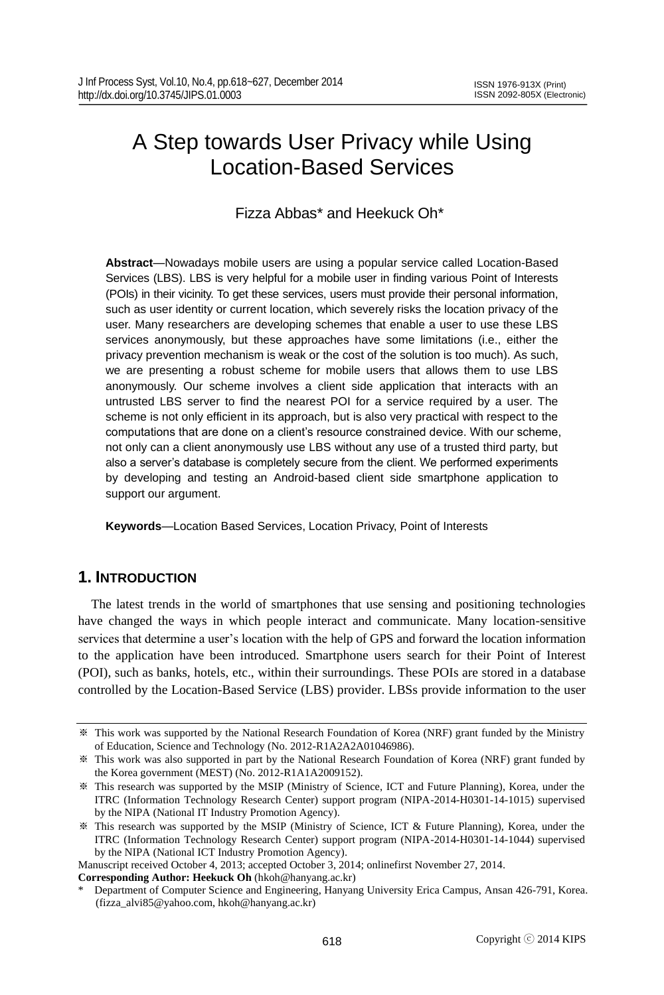# A Step towards User Privacy while Using Location-Based Services

Fizza Abbas\* and Heekuck Oh\*

**Abstract**—Nowadays mobile users are using a popular service called Location-Based Services (LBS). LBS is very helpful for a mobile user in finding various Point of Interests (POIs) in their vicinity. To get these services, users must provide their personal information, such as user identity or current location, which severely risks the location privacy of the user. Many researchers are developing schemes that enable a user to use these LBS services anonymously, but these approaches have some limitations (i.e., either the privacy prevention mechanism is weak or the cost of the solution is too much). As such, we are presenting a robust scheme for mobile users that allows them to use LBS anonymously. Our scheme involves a client side application that interacts with an untrusted LBS server to find the nearest POI for a service required by a user. The scheme is not only efficient in its approach, but is also very practical with respect to the computations that are done on a client's resource constrained device. With our scheme, not only can a client anonymously use LBS without any use of a trusted third party, but also a server's database is completely secure from the client. We performed experiments by developing and testing an Android-based client side smartphone application to support our argument.

**Keywords**—Location Based Services, Location Privacy, Point of Interests

## **1. INTRODUCTION**

The latest trends in the world of smartphones that use sensing and positioning technologies have changed the ways in which people interact and communicate. Many location-sensitive services that determine a user's location with the help of GPS and forward the location information to the application have been introduced. Smartphone users search for their Point of Interest (POI), such as banks, hotels, etc., within their surroundings. These POIs are stored in a database controlled by the Location-Based Service (LBS) provider. LBSs provide information to the user

Manuscript received October 4, 2013; accepted October 3, 2014; onlinefirst November 27, 2014.

**Corresponding Author: Heekuck Oh** (hkoh@hanyang.ac.kr)

<sup>※</sup> This work was supported by the National Research Foundation of Korea (NRF) grant funded by the Ministry of Education, Science and Technology (No. 2012-R1A2A2A01046986).

<sup>※</sup> This work was also supported in part by the National Research Foundation of Korea (NRF) grant funded by the Korea government (MEST) (No. 2012-R1A1A2009152).

<sup>※</sup> This research was supported by the MSIP (Ministry of Science, ICT and Future Planning), Korea, under the ITRC (Information Technology Research Center) support program (NIPA-2014-H0301-14-1015) supervised by the NIPA (National IT Industry Promotion Agency).

<sup>※</sup> This research was supported by the MSIP (Ministry of Science, ICT & Future Planning), Korea, under the ITRC (Information Technology Research Center) support program (NIPA-2014-H0301-14-1044) supervised by the NIPA (National ICT Industry Promotion Agency).

<sup>\*</sup> Department of Computer Science and Engineering, Hanyang University Erica Campus, Ansan 426-791, Korea. (fizza\_alvi85@yahoo.com, hkoh@hanyang.ac.kr)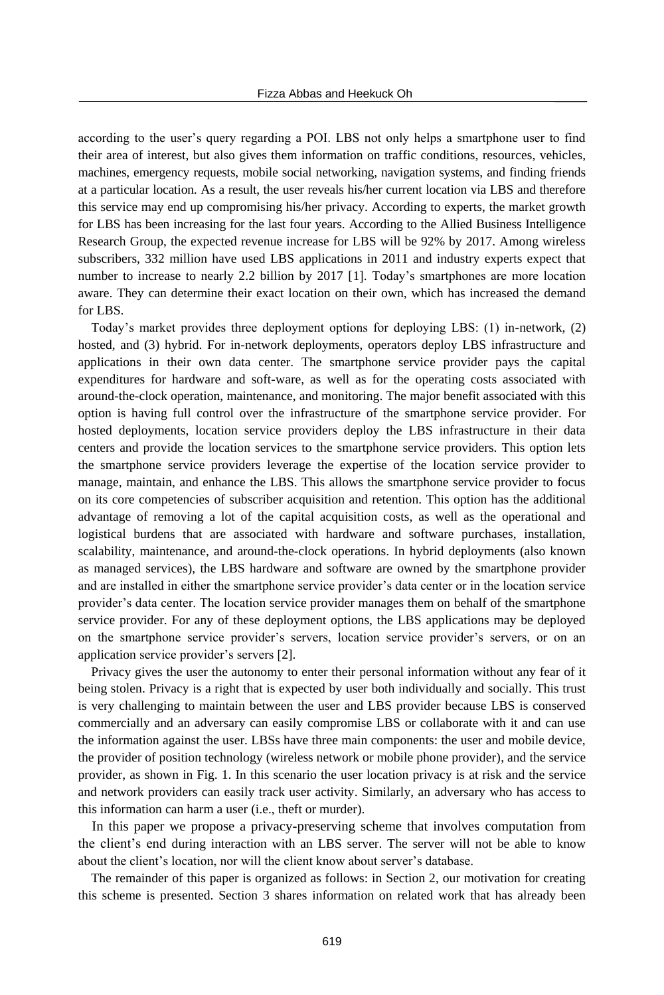according to the user's query regarding a POI. LBS not only helps a smartphone user to find their area of interest, but also gives them information on traffic conditions, resources, vehicles, machines, emergency requests, mobile social networking, navigation systems, and finding friends at a particular location. As a result, the user reveals his/her current location via LBS and therefore this service may end up compromising his/her privacy. According to experts, the market growth for LBS has been increasing for the last four years. According to the Allied Business Intelligence Research Group, the expected revenue increase for LBS will be 92% by 2017. Among wireless subscribers, 332 million have used LBS applications in 2011 and industry experts expect that number to increase to nearly 2.2 billion by 2017 [1]. Today's smartphones are more location aware. They can determine their exact location on their own, which has increased the demand for LBS.

Today's market provides three deployment options for deploying LBS: (1) in-network, (2) hosted, and (3) hybrid. For in-network deployments, operators deploy LBS infrastructure and applications in their own data center. The smartphone service provider pays the capital expenditures for hardware and soft-ware, as well as for the operating costs associated with around-the-clock operation, maintenance, and monitoring. The major benefit associated with this option is having full control over the infrastructure of the smartphone service provider. For hosted deployments, location service providers deploy the LBS infrastructure in their data centers and provide the location services to the smartphone service providers. This option lets the smartphone service providers leverage the expertise of the location service provider to manage, maintain, and enhance the LBS. This allows the smartphone service provider to focus on its core competencies of subscriber acquisition and retention. This option has the additional advantage of removing a lot of the capital acquisition costs, as well as the operational and logistical burdens that are associated with hardware and software purchases, installation, scalability, maintenance, and around-the-clock operations. In hybrid deployments (also known as managed services), the LBS hardware and software are owned by the smartphone provider and are installed in either the smartphone service provider's data center or in the location service provider's data center. The location service provider manages them on behalf of the smartphone service provider. For any of these deployment options, the LBS applications may be deployed on the smartphone service provider's servers, location service provider's servers, or on an application service provider's servers [2].

Privacy gives the user the autonomy to enter their personal information without any fear of it being stolen. Privacy is a right that is expected by user both individually and socially. This trust is very challenging to maintain between the user and LBS provider because LBS is conserved commercially and an adversary can easily compromise LBS or collaborate with it and can use the information against the user. LBSs have three main components: the user and mobile device, the provider of position technology (wireless network or mobile phone provider), and the service provider, as shown in Fig. 1. In this scenario the user location privacy is at risk and the service and network providers can easily track user activity. Similarly, an adversary who has access to this information can harm a user (i.e., theft or murder).

In this paper we propose a privacy-preserving scheme that involves computation from the client's end during interaction with an LBS server. The server will not be able to know about the client's location, nor will the client know about server's database.

The remainder of this paper is organized as follows: in Section 2, our motivation for creating this scheme is presented. Section 3 shares information on related work that has already been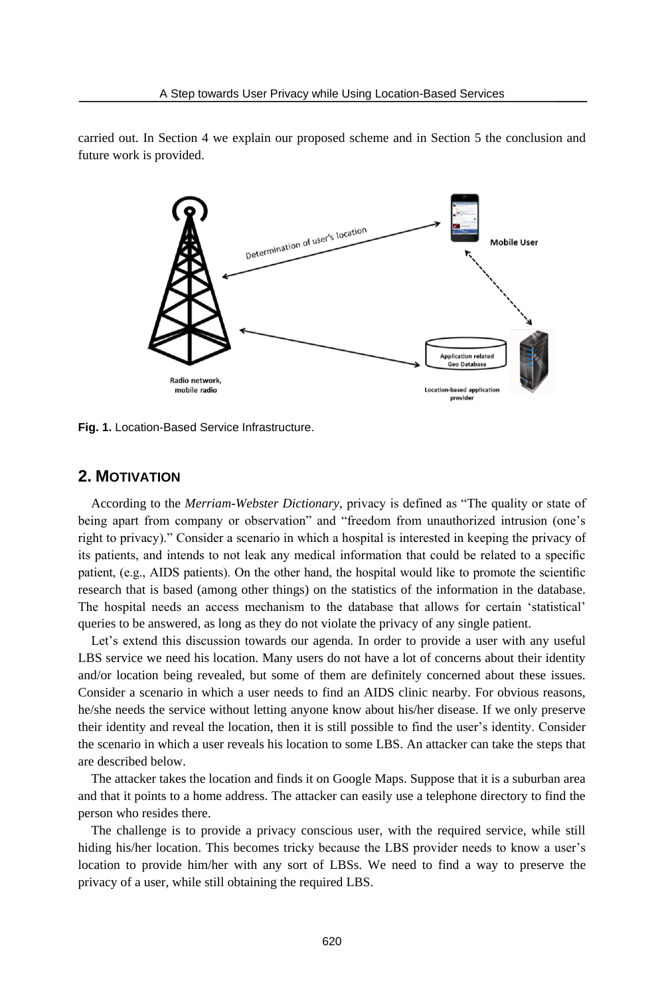

carried out. In Section 4 we explain our proposed scheme and in Section 5 the conclusion and future work is provided.

**Fig. 1.** Location-Based Service Infrastructure.

## **2. MOTIVATION**

According to the *Merriam-Webster Dictionary*, privacy is defined as "The quality or state of being apart from company or observation" and "freedom from unauthorized intrusion (one's right to privacy)." Consider a scenario in which a hospital is interested in keeping the privacy of its patients, and intends to not leak any medical information that could be related to a specific patient, (e.g., AIDS patients). On the other hand, the hospital would like to promote the scientific research that is based (among other things) on the statistics of the information in the database. The hospital needs an access mechanism to the database that allows for certain 'statistical' queries to be answered, as long as they do not violate the privacy of any single patient.

Let's extend this discussion towards our agenda. In order to provide a user with any useful LBS service we need his location. Many users do not have a lot of concerns about their identity and/or location being revealed, but some of them are definitely concerned about these issues. Consider a scenario in which a user needs to find an AIDS clinic nearby. For obvious reasons, he/she needs the service without letting anyone know about his/her disease. If we only preserve their identity and reveal the location, then it is still possible to find the user's identity. Consider the scenario in which a user reveals his location to some LBS. An attacker can take the steps that are described below.

The attacker takes the location and finds it on Google Maps. Suppose that it is a suburban area and that it points to a home address. The attacker can easily use a telephone directory to find the person who resides there.

The challenge is to provide a privacy conscious user, with the required service, while still hiding his/her location. This becomes tricky because the LBS provider needs to know a user's location to provide him/her with any sort of LBSs. We need to find a way to preserve the privacy of a user, while still obtaining the required LBS.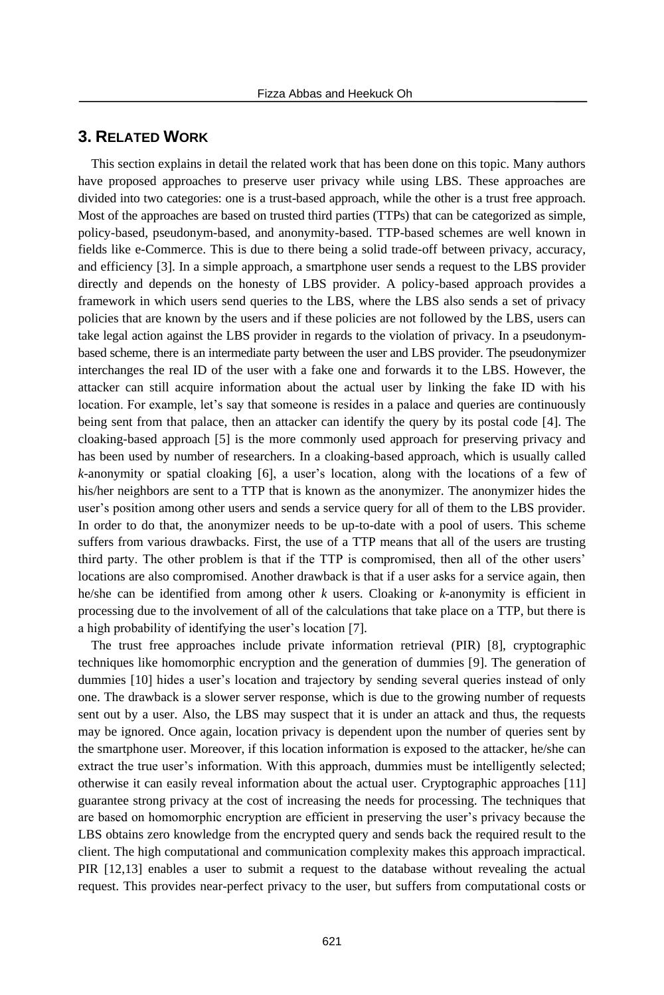## **3. RELATED WORK**

This section explains in detail the related work that has been done on this topic. Many authors have proposed approaches to preserve user privacy while using LBS. These approaches are divided into two categories: one is a trust-based approach, while the other is a trust free approach. Most of the approaches are based on trusted third parties (TTPs) that can be categorized as simple, policy-based, pseudonym-based, and anonymity-based. TTP-based schemes are well known in fields like e-Commerce. This is due to there being a solid trade-off between privacy, accuracy, and efficiency [3]. In a simple approach, a smartphone user sends a request to the LBS provider directly and depends on the honesty of LBS provider. A policy-based approach provides a framework in which users send queries to the LBS, where the LBS also sends a set of privacy policies that are known by the users and if these policies are not followed by the LBS, users can take legal action against the LBS provider in regards to the violation of privacy. In a pseudonymbased scheme, there is an intermediate party between the user and LBS provider. The pseudonymizer interchanges the real ID of the user with a fake one and forwards it to the LBS. However, the attacker can still acquire information about the actual user by linking the fake ID with his location. For example, let's say that someone is resides in a palace and queries are continuously being sent from that palace, then an attacker can identify the query by its postal code [4]. The cloaking-based approach [5] is the more commonly used approach for preserving privacy and has been used by number of researchers. In a cloaking-based approach, which is usually called *k*-anonymity or spatial cloaking [6], a user's location, along with the locations of a few of his/her neighbors are sent to a TTP that is known as the anonymizer. The anonymizer hides the user's position among other users and sends a service query for all of them to the LBS provider. In order to do that, the anonymizer needs to be up-to-date with a pool of users. This scheme suffers from various drawbacks. First, the use of a TTP means that all of the users are trusting third party. The other problem is that if the TTP is compromised, then all of the other users' locations are also compromised. Another drawback is that if a user asks for a service again, then he/she can be identified from among other *k* users. Cloaking or *k*-anonymity is efficient in processing due to the involvement of all of the calculations that take place on a TTP, but there is a high probability of identifying the user's location [7].

The trust free approaches include private information retrieval (PIR) [8], cryptographic techniques like homomorphic encryption and the generation of dummies [9]. The generation of dummies [10] hides a user's location and trajectory by sending several queries instead of only one. The drawback is a slower server response, which is due to the growing number of requests sent out by a user. Also, the LBS may suspect that it is under an attack and thus, the requests may be ignored. Once again, location privacy is dependent upon the number of queries sent by the smartphone user. Moreover, if this location information is exposed to the attacker, he/she can extract the true user's information. With this approach, dummies must be intelligently selected; otherwise it can easily reveal information about the actual user. Cryptographic approaches [11] guarantee strong privacy at the cost of increasing the needs for processing. The techniques that are based on homomorphic encryption are efficient in preserving the user's privacy because the LBS obtains zero knowledge from the encrypted query and sends back the required result to the client. The high computational and communication complexity makes this approach impractical. PIR [12,13] enables a user to submit a request to the database without revealing the actual request. This provides near-perfect privacy to the user, but suffers from computational costs or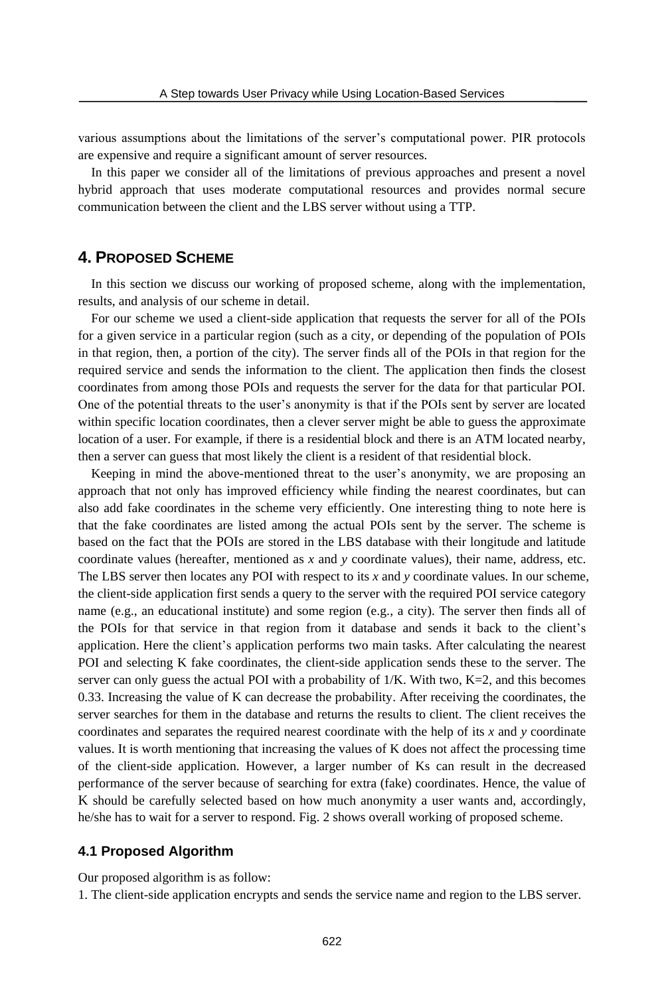various assumptions about the limitations of the server's computational power. PIR protocols are expensive and require a significant amount of server resources.

In this paper we consider all of the limitations of previous approaches and present a novel hybrid approach that uses moderate computational resources and provides normal secure communication between the client and the LBS server without using a TTP.

## **4. PROPOSED SCHEME**

In this section we discuss our working of proposed scheme, along with the implementation, results, and analysis of our scheme in detail.

For our scheme we used a client-side application that requests the server for all of the POIs for a given service in a particular region (such as a city, or depending of the population of POIs in that region, then, a portion of the city). The server finds all of the POIs in that region for the required service and sends the information to the client. The application then finds the closest coordinates from among those POIs and requests the server for the data for that particular POI. One of the potential threats to the user's anonymity is that if the POIs sent by server are located within specific location coordinates, then a clever server might be able to guess the approximate location of a user. For example, if there is a residential block and there is an ATM located nearby, then a server can guess that most likely the client is a resident of that residential block.

Keeping in mind the above-mentioned threat to the user's anonymity, we are proposing an approach that not only has improved efficiency while finding the nearest coordinates, but can also add fake coordinates in the scheme very efficiently. One interesting thing to note here is that the fake coordinates are listed among the actual POIs sent by the server. The scheme is based on the fact that the POIs are stored in the LBS database with their longitude and latitude coordinate values (hereafter, mentioned as *x* and *y* coordinate values), their name, address, etc. The LBS server then locates any POI with respect to its *x* and *y* coordinate values. In our scheme, the client-side application first sends a query to the server with the required POI service category name (e.g., an educational institute) and some region (e.g., a city). The server then finds all of the POIs for that service in that region from it database and sends it back to the client's application. Here the client's application performs two main tasks. After calculating the nearest POI and selecting K fake coordinates, the client-side application sends these to the server. The server can only guess the actual POI with a probability of 1/K. With two, K=2, and this becomes 0.33. Increasing the value of K can decrease the probability. After receiving the coordinates, the server searches for them in the database and returns the results to client. The client receives the coordinates and separates the required nearest coordinate with the help of its *x* and *y* coordinate values. It is worth mentioning that increasing the values of K does not affect the processing time of the client-side application. However, a larger number of Ks can result in the decreased performance of the server because of searching for extra (fake) coordinates. Hence, the value of K should be carefully selected based on how much anonymity a user wants and, accordingly, he/she has to wait for a server to respond. Fig. 2 shows overall working of proposed scheme.

#### **4.1 Proposed Algorithm**

Our proposed algorithm is as follow:

1. The client-side application encrypts and sends the service name and region to the LBS server.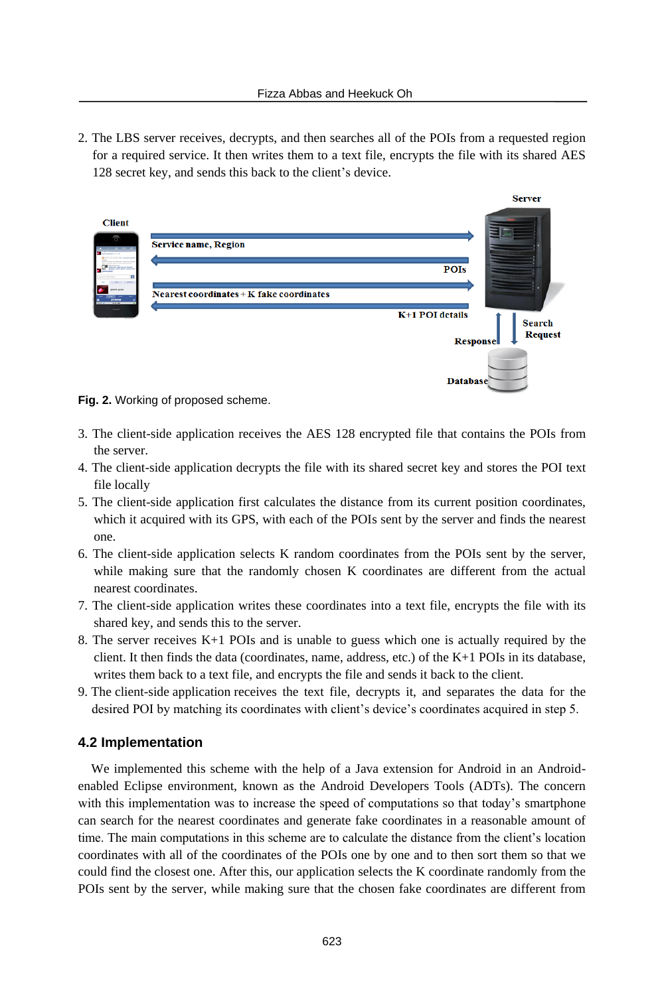2. The LBS server receives, decrypts, and then searches all of the POIs from a requested region for a required service. It then writes them to a text file, encrypts the file with its shared AES 128 secret key, and sends this back to the client's device.



**Fig. 2.** Working of proposed scheme.

- 3. The client-side application receives the AES 128 encrypted file that contains the POIs from the server.
- 4. The client-side application decrypts the file with its shared secret key and stores the POI text file locally
- 5. The client-side application first calculates the distance from its current position coordinates, which it acquired with its GPS, with each of the POIs sent by the server and finds the nearest one.
- 6. The client-side application selects K random coordinates from the POIs sent by the server, while making sure that the randomly chosen K coordinates are different from the actual nearest coordinates.
- 7. The client-side application writes these coordinates into a text file, encrypts the file with its shared key, and sends this to the server.
- 8. The server receives K+1 POIs and is unable to guess which one is actually required by the client. It then finds the data (coordinates, name, address, etc.) of the K+1 POIs in its database, writes them back to a text file, and encrypts the file and sends it back to the client.
- 9. The client-side application receives the text file, decrypts it, and separates the data for the desired POI by matching its coordinates with client's device's coordinates acquired in step 5.

#### **4.2 Implementation**

We implemented this scheme with the help of a Java extension for Android in an Androidenabled Eclipse environment, known as the Android Developers Tools (ADTs). The concern with this implementation was to increase the speed of computations so that today's smartphone can search for the nearest coordinates and generate fake coordinates in a reasonable amount of time. The main computations in this scheme are to calculate the distance from the client's location coordinates with all of the coordinates of the POIs one by one and to then sort them so that we could find the closest one. After this, our application selects the K coordinate randomly from the POIs sent by the server, while making sure that the chosen fake coordinates are different from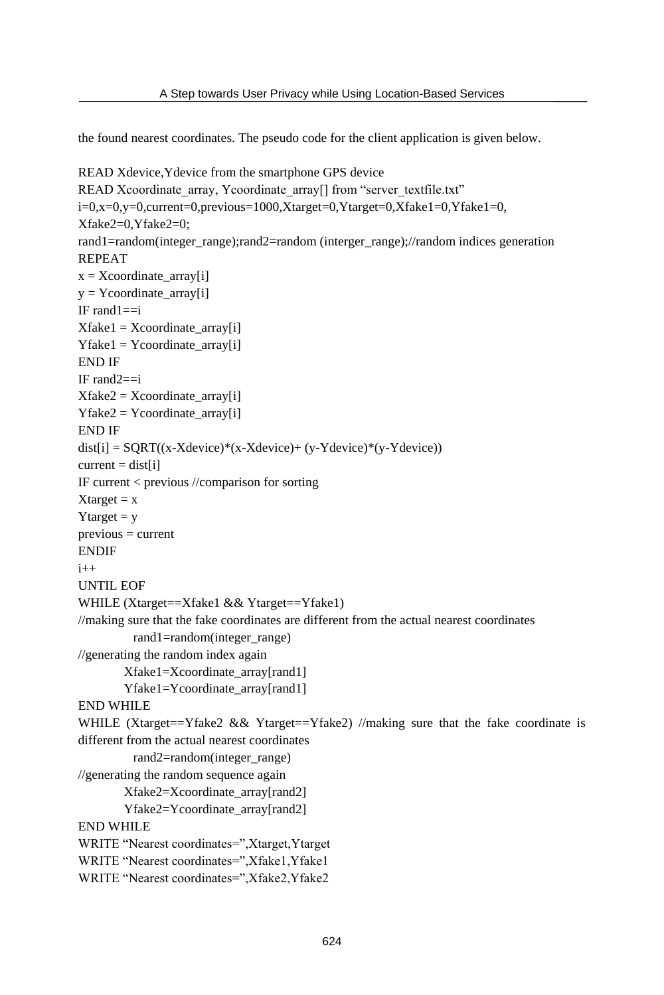the found nearest coordinates. The pseudo code for the client application is given below.

```
READ Xdevice,Ydevice from the smartphone GPS device
READ Xcoordinate_array, Ycoordinate_array[] from "server_textfile.txt"
i=0,x=0,y=0,current=0,previous=1000,Xtarget=0,Ytarget=0,Xfake1=0,Yfake1=0,
Xfake2=0,Yfake2=0;
rand1=random(integer_range);rand2=random (interger_range);//random indices generation
REPEAT
x = Xcoordinate array[i]
y = Ycoordinate_array[i]
IF rand1==i
Xfake1 = Xcoordinate~array[i]Yfake1 = Ycoordinate_array[i]
END IF
IF rand2==i
Xfake2 = Xcoordinate~array[i]Yfake2 = Ycoordinate~array[i]END IF
dist[i] = SQRT((x-Xdevice)*(x-Xdevice)+(y-Ydevice)*(y-Ydevice))current = dist[i]IF current < previous //comparison for sorting
Xtarget = xYtarget = yprevious = current
ENDIF
i++UNTIL EOF
WHILE (Xtarget==Xfake1 && Ytarget==Yfake1)
//making sure that the fake coordinates are different from the actual nearest coordinates
         rand1=random(integer_range)
//generating the random index again
        Xfake1=Xcoordinate_array[rand1]
        Yfake1=Ycoordinate_array[rand1]
END WHILE
WHILE (Xtarget==Yfake2 && Ytarget==Yfake2) //making sure that the fake coordinate is
different from the actual nearest coordinates
         rand2=random(integer_range) 
//generating the random sequence again
        Xfake2=Xcoordinate_array[rand2]
        Yfake2=Ycoordinate_array[rand2]
END WHILE
WRITE "Nearest coordinates=",Xtarget,Ytarget
WRITE "Nearest coordinates=",Xfake1,Yfake1
WRITE "Nearest coordinates=",Xfake2,Yfake2
```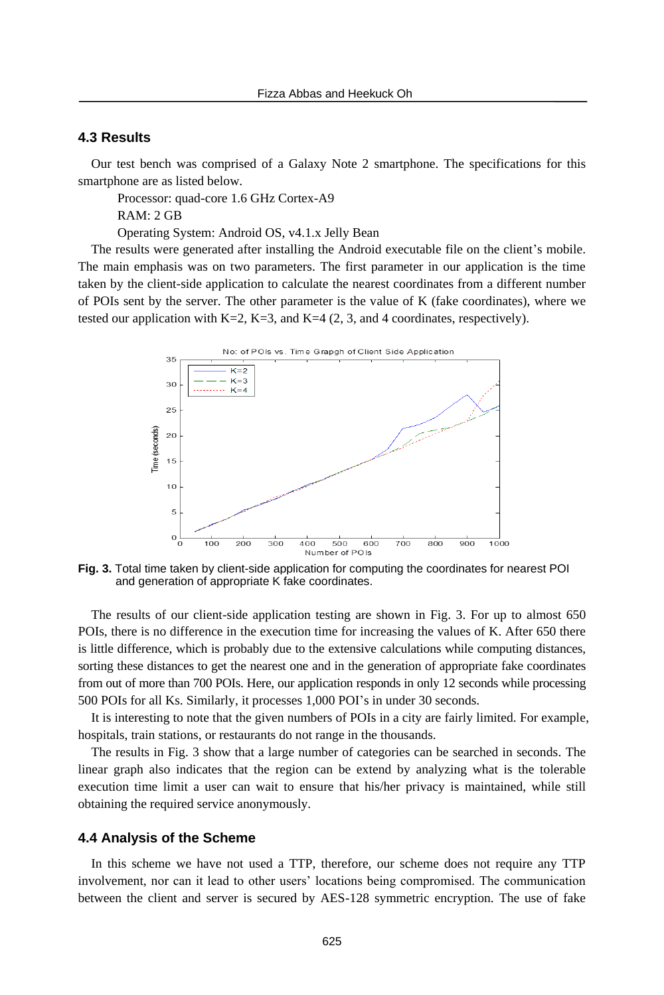#### **4.3 Results**

Our test bench was comprised of a Galaxy Note 2 smartphone. The specifications for this smartphone are as listed below.

Processor: quad-core 1.6 GHz Cortex-A9 RAM: 2 GB

Operating System: Android OS, v4.1.x Jelly Bean

The results were generated after installing the Android executable file on the client's mobile. The main emphasis was on two parameters. The first parameter in our application is the time taken by the client-side application to calculate the nearest coordinates from a different number of POIs sent by the server. The other parameter is the value of K (fake coordinates), where we tested our application with  $K=2$ ,  $K=3$ , and  $K=4$  (2, 3, and 4 coordinates, respectively).



**Fig. 3.** Total time taken by client-side application for computing the coordinates for nearest POI and generation of appropriate K fake coordinates.

The results of our client-side application testing are shown in Fig. 3. For up to almost 650 POIs, there is no difference in the execution time for increasing the values of K. After 650 there is little difference, which is probably due to the extensive calculations while computing distances, sorting these distances to get the nearest one and in the generation of appropriate fake coordinates from out of more than 700 POIs. Here, our application responds in only 12 seconds while processing 500 POIs for all Ks. Similarly, it processes 1,000 POI's in under 30 seconds.

It is interesting to note that the given numbers of POIs in a city are fairly limited. For example, hospitals, train stations, or restaurants do not range in the thousands.

The results in Fig. 3 show that a large number of categories can be searched in seconds. The linear graph also indicates that the region can be extend by analyzing what is the tolerable execution time limit a user can wait to ensure that his/her privacy is maintained, while still obtaining the required service anonymously.

#### **4.4 Analysis of the Scheme**

In this scheme we have not used a TTP, therefore, our scheme does not require any TTP involvement, nor can it lead to other users' locations being compromised. The communication between the client and server is secured by AES-128 symmetric encryption. The use of fake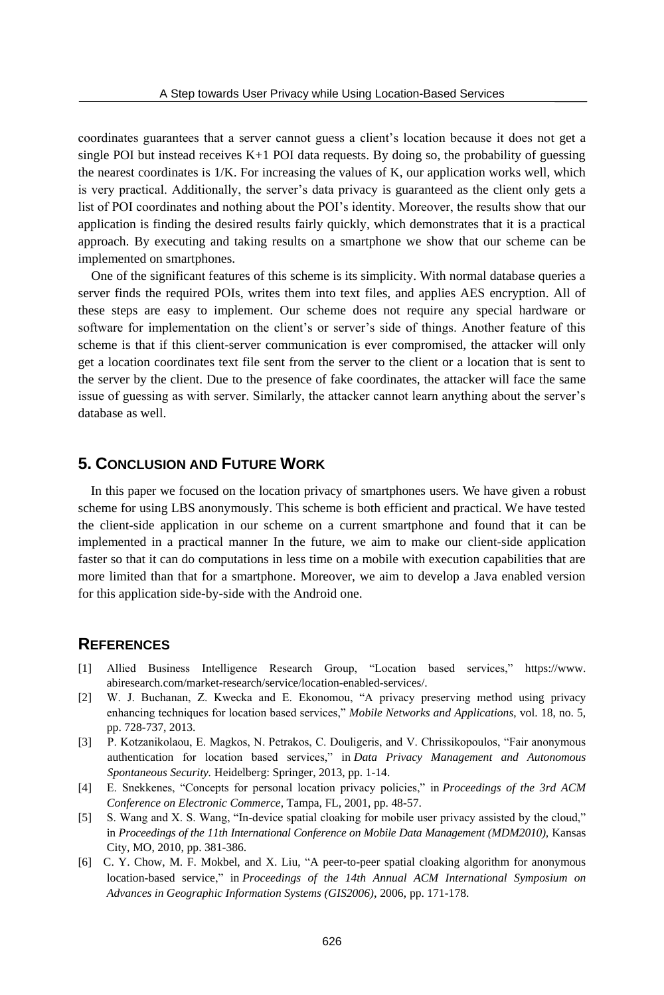coordinates guarantees that a server cannot guess a client's location because it does not get a single POI but instead receives  $K+1$  POI data requests. By doing so, the probability of guessing the nearest coordinates is 1/K. For increasing the values of K, our application works well, which is very practical. Additionally, the server's data privacy is guaranteed as the client only gets a list of POI coordinates and nothing about the POI's identity. Moreover, the results show that our application is finding the desired results fairly quickly, which demonstrates that it is a practical approach. By executing and taking results on a smartphone we show that our scheme can be implemented on smartphones.

One of the significant features of this scheme is its simplicity. With normal database queries a server finds the required POIs, writes them into text files, and applies AES encryption. All of these steps are easy to implement. Our scheme does not require any special hardware or software for implementation on the client's or server's side of things. Another feature of this scheme is that if this client-server communication is ever compromised, the attacker will only get a location coordinates text file sent from the server to the client or a location that is sent to the server by the client. Due to the presence of fake coordinates, the attacker will face the same issue of guessing as with server. Similarly, the attacker cannot learn anything about the server's database as well.

## **5. CONCLUSION AND FUTURE WORK**

In this paper we focused on the location privacy of smartphones users. We have given a robust scheme for using LBS anonymously. This scheme is both efficient and practical. We have tested the client-side application in our scheme on a current smartphone and found that it can be implemented in a practical manner In the future, we aim to make our client-side application faster so that it can do computations in less time on a mobile with execution capabilities that are more limited than that for a smartphone. Moreover, we aim to develop a Java enabled version for this application side-by-side with the Android one.

## **REFERENCES**

- [1] Allied Business Intelligence Research Group, "Location based services," https://www. abiresearch.com/market-research/service/location-enabled-services/.
- [2] W. J. Buchanan, Z. Kwecka and E. Ekonomou, "A privacy preserving method using privacy enhancing techniques for location based services," *Mobile Networks and Applications*, vol. 18, no. 5, pp. 728-737, 2013.
- [3] P. Kotzanikolaou, E. Magkos, N. Petrakos, C. Douligeris, and V. Chrissikopoulos, "Fair anonymous authentication for location based services," in *Data Privacy Management and Autonomous Spontaneous Security.* Heidelberg: Springer, 2013, pp. 1-14.
- [4] E. Snekkenes, "Concepts for personal location privacy policies," in *Proceedings of the 3rd ACM Conference on Electronic Commerce*, Tampa, FL, 2001, pp. 48-57.
- [5] S. Wang and X. S. Wang, "In-device spatial cloaking for mobile user privacy assisted by the cloud," in *Proceedings of the 11th International Conference on Mobile Data Management (MDM2010),* Kansas City, MO, 2010, pp. 381-386.
- [6] C. Y. Chow, M. F. Mokbel, and X. Liu, "A peer-to-peer spatial cloaking algorithm for anonymous location-based service," in *Proceedings of the 14th Annual ACM International Symposium on Advances in Geographic Information Systems (GIS2006)*, 2006, pp. 171-178.